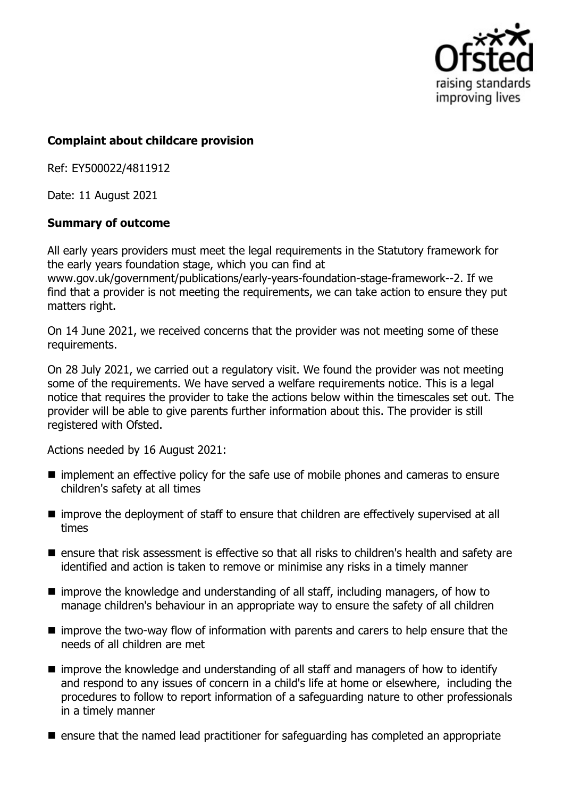

## **Complaint about childcare provision**

Ref: EY500022/4811912

Date: 11 August 2021

## **Summary of outcome**

All early years providers must meet the legal requirements in the Statutory framework for the early years foundation stage, which you can find at www.gov.uk/government/publications/early-years-foundation-stage-framework--2. If we find that a provider is not meeting the requirements, we can take action to ensure they put matters right.

On 14 June 2021, we received concerns that the provider was not meeting some of these requirements.

On 28 July 2021, we carried out a regulatory visit. We found the provider was not meeting some of the requirements. We have served a welfare requirements notice. This is a legal notice that requires the provider to take the actions below within the timescales set out. The provider will be able to give parents further information about this. The provider is still registered with Ofsted.

Actions needed by 16 August 2021:

- **n** implement an effective policy for the safe use of mobile phones and cameras to ensure children's safety at all times
- improve the deployment of staff to ensure that children are effectively supervised at all times
- ensure that risk assessment is effective so that all risks to children's health and safety are identified and action is taken to remove or minimise any risks in a timely manner
- $\blacksquare$  improve the knowledge and understanding of all staff, including managers, of how to manage children's behaviour in an appropriate way to ensure the safety of all children
- $\blacksquare$  improve the two-way flow of information with parents and carers to help ensure that the needs of all children are met
- $\blacksquare$  improve the knowledge and understanding of all staff and managers of how to identify and respond to any issues of concern in a child's life at home or elsewhere, including the procedures to follow to report information of a safeguarding nature to other professionals in a timely manner
- $\blacksquare$  ensure that the named lead practitioner for safeguarding has completed an appropriate